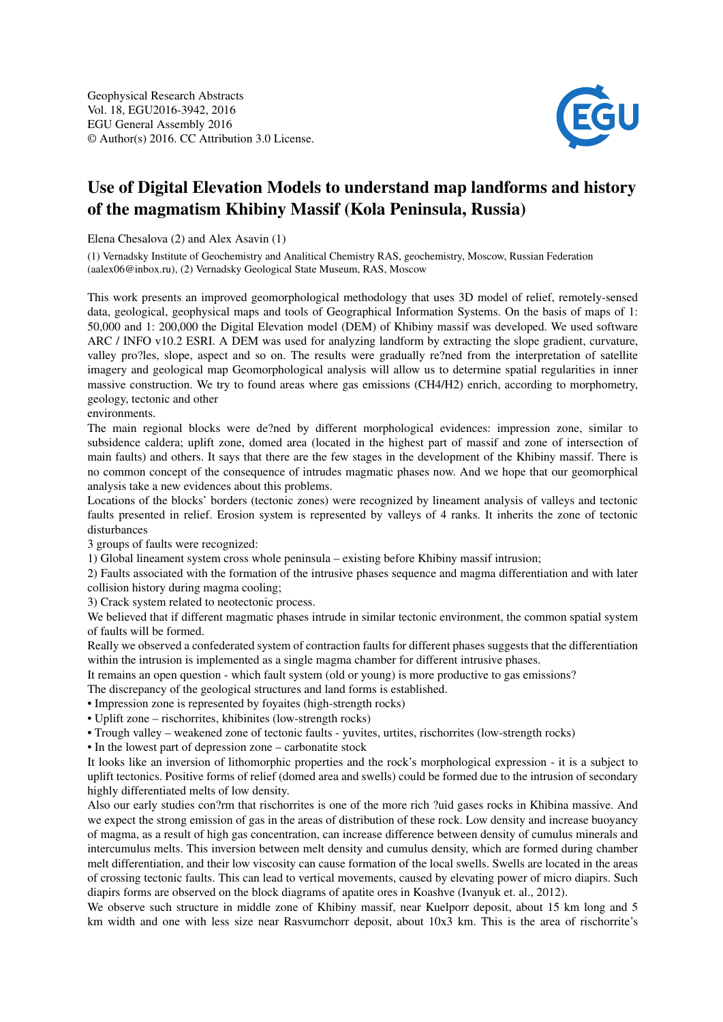

## Use of Digital Elevation Models to understand map landforms and history of the magmatism Khibiny Massif (Kola Peninsula, Russia)

Elena Chesalova (2) and Alex Asavin (1)

(1) Vernadsky Institute of Geochemistry and Analitical Chemistry RAS, geochemistry, Moscow, Russian Federation (aalex06@inbox.ru), (2) Vernadsky Geological State Museum, RAS, Moscow

This work presents an improved geomorphological methodology that uses 3D model of relief, remotely-sensed data, geological, geophysical maps and tools of Geographical Information Systems. On the basis of maps of 1: 50,000 and 1: 200,000 the Digital Elevation model (DEM) of Khibiny massif was developed. We used software ARC / INFO v10.2 ESRI. A DEM was used for analyzing landform by extracting the slope gradient, curvature, valley pro?les, slope, aspect and so on. The results were gradually re?ned from the interpretation of satellite imagery and geological map Geomorphological analysis will allow us to determine spatial regularities in inner massive construction. We try to found areas where gas emissions (CH4/H2) enrich, according to morphometry, geology, tectonic and other

## environments.

The main regional blocks were de?ned by different morphological evidences: impression zone, similar to subsidence caldera; uplift zone, domed area (located in the highest part of massif and zone of intersection of main faults) and others. It says that there are the few stages in the development of the Khibiny massif. There is no common concept of the consequence of intrudes magmatic phases now. And we hope that our geomorphical analysis take a new evidences about this problems.

Locations of the blocks' borders (tectonic zones) were recognized by lineament analysis of valleys and tectonic faults presented in relief. Erosion system is represented by valleys of 4 ranks. It inherits the zone of tectonic disturbances

3 groups of faults were recognized:

1) Global lineament system cross whole peninsula – existing before Khibiny massif intrusion;

2) Faults associated with the formation of the intrusive phases sequence and magma differentiation and with later collision history during magma cooling;

3) Crack system related to neotectonic process.

We believed that if different magmatic phases intrude in similar tectonic environment, the common spatial system of faults will be formed.

Really we observed a confederated system of contraction faults for different phases suggests that the differentiation within the intrusion is implemented as a single magma chamber for different intrusive phases.

It remains an open question - which fault system (old or young) is more productive to gas emissions?

The discrepancy of the geological structures and land forms is established.

- Impression zone is represented by foyaites (high-strength rocks)
- Uplift zone rischorrites, khibinites (low-strength rocks)
- Trough valley weakened zone of tectonic faults yuvites, urtites, rischorrites (low-strength rocks)

• In the lowest part of depression zone – carbonatite stock

It looks like an inversion of lithomorphic properties and the rock's morphological expression - it is a subject to uplift tectonics. Positive forms of relief (domed area and swells) could be formed due to the intrusion of secondary highly differentiated melts of low density.

Also our early studies con?rm that rischorrites is one of the more rich ?uid gases rocks in Khibina massive. And we expect the strong emission of gas in the areas of distribution of these rock. Low density and increase buoyancy of magma, as a result of high gas concentration, can increase difference between density of cumulus minerals and intercumulus melts. This inversion between melt density and cumulus density, which are formed during chamber melt differentiation, and their low viscosity can cause formation of the local swells. Swells are located in the areas of crossing tectonic faults. This can lead to vertical movements, caused by elevating power of micro diapirs. Such diapirs forms are observed on the block diagrams of apatite ores in Koashve (Ivanyuk et. al., 2012).

We observe such structure in middle zone of Khibiny massif, near Kuelporr deposit, about 15 km long and 5 km width and one with less size near Rasvumchorr deposit, about 10x3 km. This is the area of rischorrite's